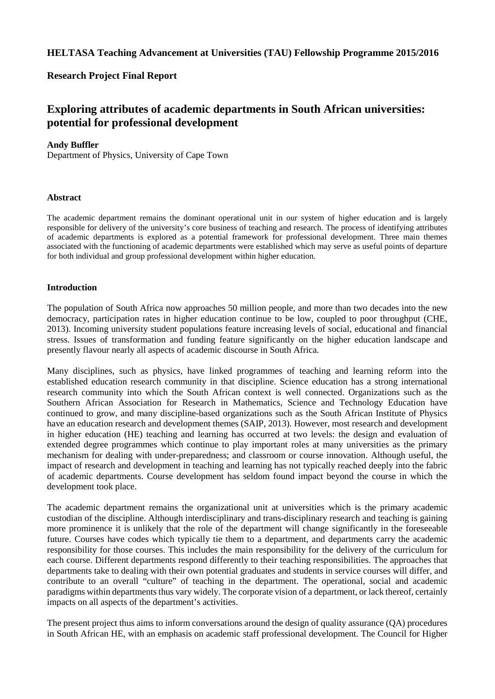# **HELTASA Teaching Advancement at Universities (TAU) Fellowship Programme 2015/2016**

# **Research Project Final Report**

# **Exploring attributes of academic departments in South African universities: potential for professional development**

### **Andy Buffler**

Department of Physics, University of Cape Town

### **Abstract**

The academic department remains the dominant operational unit in our system of higher education and is largely responsible for delivery of the university's core business of teaching and research. The process of identifying attributes of academic departments is explored as a potential framework for professional development. Three main themes associated with the functioning of academic departments were established which may serve as useful points of departure for both individual and group professional development within higher education.

#### **Introduction**

The population of South Africa now approaches 50 million people, and more than two decades into the new democracy, participation rates in higher education continue to be low, coupled to poor throughput (CHE, 2013). Incoming university student populations feature increasing levels of social, educational and financial stress. Issues of transformation and funding feature significantly on the higher education landscape and presently flavour nearly all aspects of academic discourse in South Africa.

Many disciplines, such as physics, have linked programmes of teaching and learning reform into the established education research community in that discipline. Science education has a strong international research community into which the South African context is well connected. Organizations such as the Southern African Association for Research in Mathematics, Science and Technology Education have continued to grow, and many discipline-based organizations such as the South African Institute of Physics have an education research and development themes (SAIP, 2013). However, most research and development in higher education (HE) teaching and learning has occurred at two levels: the design and evaluation of extended degree programmes which continue to play important roles at many universities as the primary mechanism for dealing with under-preparedness; and classroom or course innovation. Although useful, the impact of research and development in teaching and learning has not typically reached deeply into the fabric of academic departments. Course development has seldom found impact beyond the course in which the development took place.

The academic department remains the organizational unit at universities which is the primary academic custodian of the discipline. Although interdisciplinary and trans-disciplinary research and teaching is gaining more prominence it is unlikely that the role of the department will change significantly in the foreseeable future. Courses have codes which typically tie them to a department, and departments carry the academic responsibility for those courses. This includes the main responsibility for the delivery of the curriculum for each course. Different departments respond differently to their teaching responsibilities. The approaches that departments take to dealing with their own potential graduates and students in service courses will differ, and contribute to an overall "culture" of teaching in the department. The operational, social and academic paradigms within departments thus vary widely. The corporate vision of a department, or lack thereof, certainly impacts on all aspects of the department's activities.

The present project thus aims to inform conversations around the design of quality assurance (QA) procedures in South African HE, with an emphasis on academic staff professional development. The Council for Higher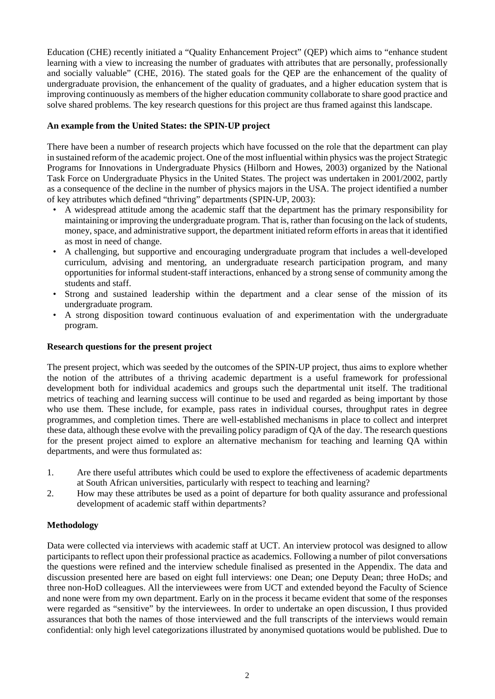Education (CHE) recently initiated a "Quality Enhancement Project" (QEP) which aims to "enhance student learning with a view to increasing the number of graduates with attributes that are personally, professionally and socially valuable" (CHE, 2016). The stated goals for the QEP are the enhancement of the quality of undergraduate provision, the enhancement of the quality of graduates, and a higher education system that is improving continuously as members of the higher education community collaborate to share good practice and solve shared problems. The key research questions for this project are thus framed against this landscape.

# **An example from the United States: the SPIN-UP project**

There have been a number of research projects which have focussed on the role that the department can play in sustained reform of the academic project. One of the most influential within physics was the project Strategic Programs for Innovations in Undergraduate Physics (Hilborn and Howes, 2003) organized by the National Task Force on Undergraduate Physics in the United States. The project was undertaken in 2001/2002, partly as a consequence of the decline in the number of physics majors in the USA. The project identified a number of key attributes which defined "thriving" departments (SPIN-UP, 2003):

- A widespread attitude among the academic staff that the department has the primary responsibility for maintaining or improving the undergraduate program. That is, rather than focusing on the lack of students, money, space, and administrative support, the department initiated reform efforts in areas that it identified as most in need of change.
- A challenging, but supportive and encouraging undergraduate program that includes a well-developed curriculum, advising and mentoring, an undergraduate research participation program, and many opportunities for informal student-staff interactions, enhanced by a strong sense of community among the students and staff.
- Strong and sustained leadership within the department and a clear sense of the mission of its undergraduate program.
- A strong disposition toward continuous evaluation of and experimentation with the undergraduate program.

### **Research questions for the present project**

The present project, which was seeded by the outcomes of the SPIN-UP project, thus aims to explore whether the notion of the attributes of a thriving academic department is a useful framework for professional development both for individual academics and groups such the departmental unit itself. The traditional metrics of teaching and learning success will continue to be used and regarded as being important by those who use them. These include, for example, pass rates in individual courses, throughput rates in degree programmes, and completion times. There are well-established mechanisms in place to collect and interpret these data, although these evolve with the prevailing policy paradigm of QA of the day. The research questions for the present project aimed to explore an alternative mechanism for teaching and learning QA within departments, and were thus formulated as:

- 1. Are there useful attributes which could be used to explore the effectiveness of academic departments at South African universities, particularly with respect to teaching and learning?
- 2. How may these attributes be used as a point of departure for both quality assurance and professional development of academic staff within departments?

# **Methodology**

Data were collected via interviews with academic staff at UCT. An interview protocol was designed to allow participants to reflect upon their professional practice as academics. Following a number of pilot conversations the questions were refined and the interview schedule finalised as presented in the Appendix. The data and discussion presented here are based on eight full interviews: one Dean; one Deputy Dean; three HoDs; and three non-HoD colleagues. All the interviewees were from UCT and extended beyond the Faculty of Science and none were from my own department. Early on in the process it became evident that some of the responses were regarded as "sensitive" by the interviewees. In order to undertake an open discussion, I thus provided assurances that both the names of those interviewed and the full transcripts of the interviews would remain confidential: only high level categorizations illustrated by anonymised quotations would be published. Due to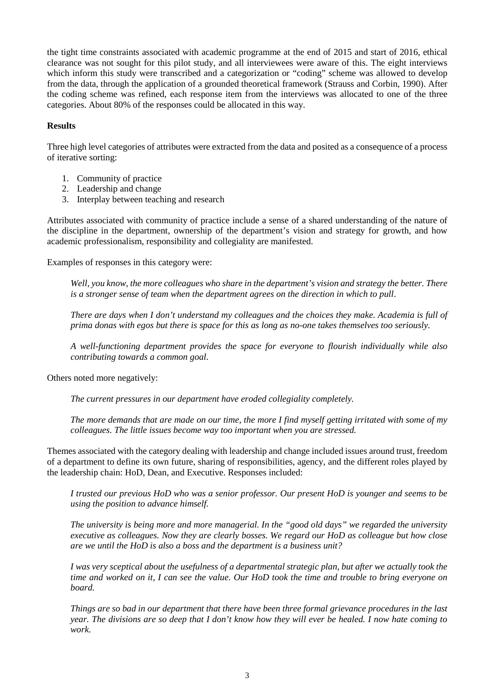the tight time constraints associated with academic programme at the end of 2015 and start of 2016, ethical clearance was not sought for this pilot study, and all interviewees were aware of this. The eight interviews which inform this study were transcribed and a categorization or "coding" scheme was allowed to develop from the data, through the application of a grounded theoretical framework (Strauss and Corbin, 1990). After the coding scheme was refined, each response item from the interviews was allocated to one of the three categories. About 80% of the responses could be allocated in this way.

### **Results**

Three high level categories of attributes were extracted from the data and posited as a consequence of a process of iterative sorting:

- 1. Community of practice
- 2. Leadership and change
- 3. Interplay between teaching and research

Attributes associated with community of practice include a sense of a shared understanding of the nature of the discipline in the department, ownership of the department's vision and strategy for growth, and how academic professionalism, responsibility and collegiality are manifested.

Examples of responses in this category were:

*Well, you know, the more colleagues who share in the department's vision and strategy the better. There is a stronger sense of team when the department agrees on the direction in which to pull*.

*There are days when I don't understand my colleagues and the choices they make. Academia is full of prima donas with egos but there is space for this as long as no-one takes themselves too seriously.*

*A well-functioning department provides the space for everyone to flourish individually while also contributing towards a common goal.*

Others noted more negatively:

*The current pressures in our department have eroded collegiality completely.*

*The more demands that are made on our time, the more I find myself getting irritated with some of my colleagues. The little issues become way too important when you are stressed.*

Themes associated with the category dealing with leadership and change included issues around trust, freedom of a department to define its own future, sharing of responsibilities, agency, and the different roles played by the leadership chain: HoD, Dean, and Executive. Responses included:

*I trusted our previous HoD who was a senior professor. Our present HoD is younger and seems to be using the position to advance himself.*

*The university is being more and more managerial. In the "good old days" we regarded the university executive as colleagues. Now they are clearly bosses. We regard our HoD as colleague but how close are we until the HoD is also a boss and the department is a business unit?*

*I was very sceptical about the usefulness of a departmental strategic plan, but after we actually took the time and worked on it, I can see the value. Our HoD took the time and trouble to bring everyone on board.*

*Things are so bad in our department that there have been three formal grievance procedures in the last year. The divisions are so deep that I don't know how they will ever be healed. I now hate coming to work.*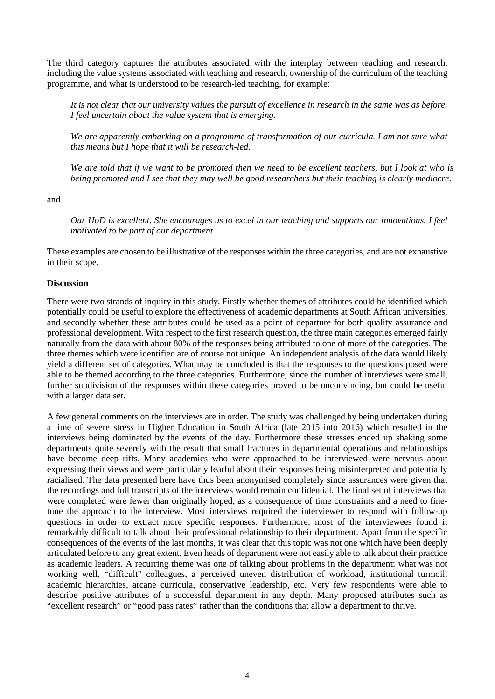The third category captures the attributes associated with the interplay between teaching and research, including the value systems associated with teaching and research, ownership of the curriculum of the teaching programme, and what is understood to be research-led teaching, for example:

*It is not clear that our university values the pursuit of excellence in research in the same was as before. I feel uncertain about the value system that is emerging.*

We are apparently embarking on a programme of transformation of our curricula. I am not sure what *this means but I hope that it will be research-led.*

*We are told that if we want to be promoted then we need to be excellent teachers, but I look at who is being promoted and I see that they may well be good researchers but their teaching is clearly mediocre.*

and

*Our HoD is excellent. She encourages us to excel in our teaching and supports our innovations. I feel motivated to be part of our department*.

These examples are chosen to be illustrative of the responses within the three categories, and are not exhaustive in their scope.

#### **Discussion**

There were two strands of inquiry in this study. Firstly whether themes of attributes could be identified which potentially could be useful to explore the effectiveness of academic departments at South African universities, and secondly whether these attributes could be used as a point of departure for both quality assurance and professional development. With respect to the first research question, the three main categories emerged fairly naturally from the data with about 80% of the responses being attributed to one of more of the categories. The three themes which were identified are of course not unique. An independent analysis of the data would likely yield a different set of categories. What may be concluded is that the responses to the questions posed were able to be themed according to the three categories. Furthermore, since the number of interviews were small, further subdivision of the responses within these categories proved to be unconvincing, but could be useful with a larger data set.

A few general comments on the interviews are in order. The study was challenged by being undertaken during a time of severe stress in Higher Education in South Africa (late 2015 into 2016) which resulted in the interviews being dominated by the events of the day. Furthermore these stresses ended up shaking some departments quite severely with the result that small fractures in departmental operations and relationships have become deep rifts. Many academics who were approached to be interviewed were nervous about expressing their views and were particularly fearful about their responses being misinterpreted and potentially racialised. The data presented here have thus been anonymised completely since assurances were given that the recordings and full transcripts of the interviews would remain confidential. The final set of interviews that were completed were fewer than originally hoped, as a consequence of time constraints and a need to finetune the approach to the interview. Most interviews required the interviewer to respond with follow-up questions in order to extract more specific responses. Furthermore, most of the interviewees found it remarkably difficult to talk about their professional relationship to their department. Apart from the specific consequences of the events of the last months, it was clear that this topic was not one which have been deeply articulated before to any great extent. Even heads of department were not easily able to talk about their practice as academic leaders. A recurring theme was one of talking about problems in the department: what was not working well, "difficult" colleagues, a perceived uneven distribution of workload, institutional turmoil, academic hierarchies, arcane curricula, conservative leadership, etc. Very few respondents were able to describe positive attributes of a successful department in any depth. Many proposed attributes such as "excellent research" or "good pass rates" rather than the conditions that allow a department to thrive.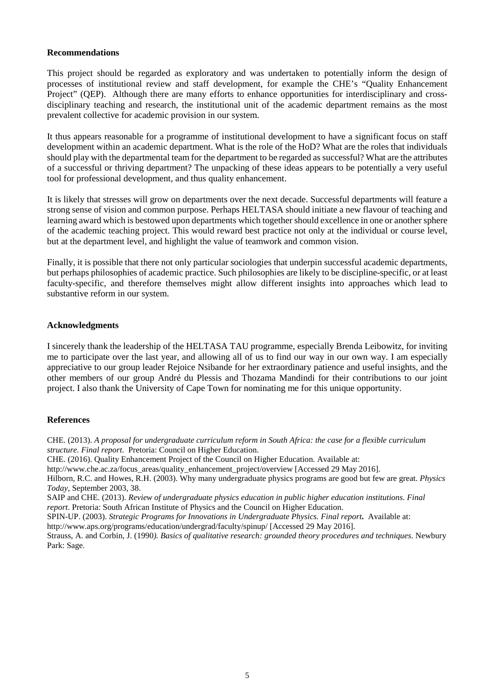### **Recommendations**

This project should be regarded as exploratory and was undertaken to potentially inform the design of processes of institutional review and staff development, for example the CHE's "Quality Enhancement Project" (QEP). Although there are many efforts to enhance opportunities for interdisciplinary and crossdisciplinary teaching and research, the institutional unit of the academic department remains as the most prevalent collective for academic provision in our system.

It thus appears reasonable for a programme of institutional development to have a significant focus on staff development within an academic department. What is the role of the HoD? What are the roles that individuals should play with the departmental team for the department to be regarded as successful? What are the attributes of a successful or thriving department? The unpacking of these ideas appears to be potentially a very useful tool for professional development, and thus quality enhancement.

It is likely that stresses will grow on departments over the next decade. Successful departments will feature a strong sense of vision and common purpose. Perhaps HELTASA should initiate a new flavour of teaching and learning award which is bestowed upon departments which together should excellence in one or another sphere of the academic teaching project. This would reward best practice not only at the individual or course level, but at the department level, and highlight the value of teamwork and common vision.

Finally, it is possible that there not only particular sociologies that underpin successful academic departments, but perhaps philosophies of academic practice. Such philosophies are likely to be discipline-specific, or at least faculty-specific, and therefore themselves might allow different insights into approaches which lead to substantive reform in our system.

#### **Acknowledgments**

I sincerely thank the leadership of the HELTASA TAU programme, especially Brenda Leibowitz, for inviting me to participate over the last year, and allowing all of us to find our way in our own way. I am especially appreciative to our group leader Rejoice Nsibande for her extraordinary patience and useful insights, and the other members of our group André du Plessis and Thozama Mandindi for their contributions to our joint project. I also thank the University of Cape Town for nominating me for this unique opportunity.

#### **References**

CHE. (2013). *A proposal for undergraduate curriculum reform in South Africa: the case for a flexible curriculum structure. Final report*. Pretoria: Council on Higher Education. CHE. (2016). Quality Enhancement Project of the Council on Higher Education. Available at:

http://www.che.ac.za/focus\_areas/quality\_enhancement\_project/overview [Accessed 29 May 2016].

Hilborn, R.C. and Howes, R.H. (2003). Why many undergraduate physics programs are good but few are great. *Physics Today*, September 2003, 38.

SAIP and CHE. (2013). *Review of undergraduate physics education in public higher education institutions. Final report*. Pretoria: South African Institute of Physics and the Council on Higher Education.

SPIN-UP. (2003). *Strategic Programs for Innovations in Undergraduate Physics. Final report***.** Available at:

http://www.aps.org/programs/education/undergrad/faculty/spinup/ [Accessed 29 May 2016].

Strauss, A. and Corbin, J. (1990*). Basics of qualitative research: grounded theory procedures and techniques*. Newbury Park: Sage.